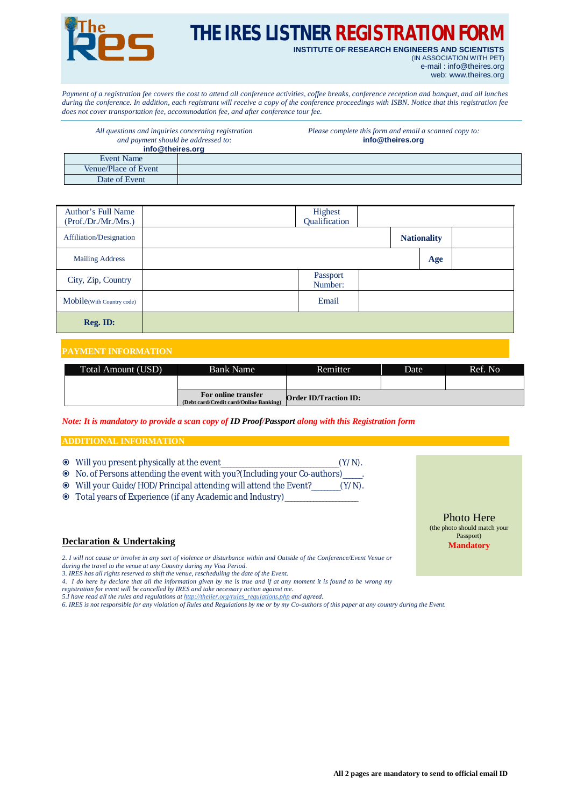

# **THE IRES LISTNER REGISTRATION FOR**

**INSTITUTE OF RESEARCH ENGINEERS AND SCIENTISTS** (IN ASSOCIATION WITH PET) e-mail : [info@theires.org](mailto:info@theires.org)

web: [www.theires.org](http://www.theires.org)

*Payment of a registration fee covers the cost to attend all conference activities, coffee breaks, conference reception and banquet, and all lunches during the conference. In addition, each registrant will receive a copy of the conference proceedings with ISBN. Notice that this registration fee does not cover transportation fee, accommodation fee, and after conference tour fee.*

| All questions and inquiries concerning registration<br>and payment should be addressed to: |  | Please complete this form and email a scanned copy to:<br>info@theires.org |  |  |
|--------------------------------------------------------------------------------------------|--|----------------------------------------------------------------------------|--|--|
| info@theires.org                                                                           |  |                                                                            |  |  |
| Event Name                                                                                 |  |                                                                            |  |  |
| Venue/Place of Event                                                                       |  |                                                                            |  |  |
| Date of Event                                                                              |  |                                                                            |  |  |

| Author's Full Name<br>(Prof./Dr./Mr./Mrs.) | Highest<br>Qualification |                    |  |
|--------------------------------------------|--------------------------|--------------------|--|
| Affiliation/Designation                    |                          | <b>Nationality</b> |  |
| <b>Mailing Address</b>                     |                          | Age                |  |
| City, Zip, Country                         | Passport<br>Number:      |                    |  |
| Mobile(With Country code)                  | Email                    |                    |  |
| Reg. ID:                                   |                          |                    |  |

### **PAYMENT INFORMATION**

| Total Amount (USD) | Bank Name                                                     | Remitter                     | Date | Ref. No |
|--------------------|---------------------------------------------------------------|------------------------------|------|---------|
|                    |                                                               |                              |      |         |
|                    | For online transfer<br>(Debt card/Credit card/Online Banking) | <b>Order ID/Traction ID:</b> |      |         |

*Note: It is mandatory to provide a scan copy of ID Proof/Passport along with this Registration form*

#### **ADDITIONAL INFORMATION**

- Will you present physically at the event\_\_\_\_\_\_\_\_\_\_\_\_\_\_\_\_\_\_\_\_\_\_\_\_\_\_\_\_\_\_\_\_\_\_\_\_\_(Y/N).
- No. of Persons attending the event with you?(Including your Co-authors)\_\_\_\_\_\_.
- Will your Guide/HOD/Principal attending will attend the Event?\_\_\_\_\_\_\_\_\_(Y/N).
- Total years of Experience (if any Academic and Industry)\_\_\_\_\_\_\_\_\_\_\_\_\_\_\_\_\_\_\_\_\_\_\_

#### **Declaration & Undertaking**

*2. I will not cause or involve in any sort of violence or disturbance within and Outside of the Conference/Event Venue or during the travel to the venue at any Country during my Visa Period.*

*3. IRES has all rights reserved to shift the venue, rescheduling the date of the Event.*

*4. I do here by declare that all the information given by me is true and if at any moment it is found to be wrong my* 

*registration for event will be cancelled by IRES and take necessary action against me.* 

*5.I have read all the rules and regulations at [http://theiier.org/rules\\_regulations.php](http://theiier.org/rules_regulations.php) and agreed.*

*6. IRES is not responsible for any violation of Rules and Regulations by me or by my Co-authors of this paper at any country during the Event.*

Photo Here (the photo should match your Passport) **Mandatory**